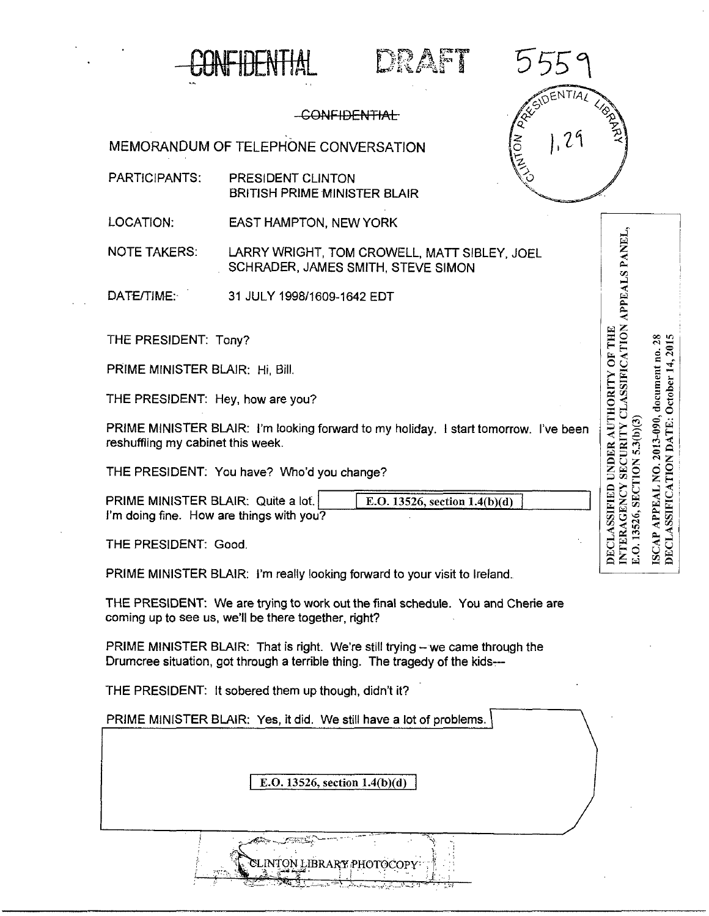

## DRAFT 5559

-CONFIDENTIAL

MEMORANDUM OF TELEPHONE CONVERSATION

- PARTICIPANTS: PRESIDENT CLINTON BRITISH PRIME MINISTER BLAIR
- LOCATION: EAST HAMPTON, NEW YORK

NOTE TAKERS: LARRY WRIGHT, TOM CROWELL, MATT SIBLEY, JOEL SCHRADER, JAMES SMITH, STEVE SIMON

DATE/TIME: 31 JULY 1998/1609-1642 EDT

THE PRESIDENT: Tony?

PRIME MINISTER BLAIR: Hi, Bill.

THE PRESIDENT: Hey, how are you?

PRIME MINISTER BLAIR: I'm looking forward to my holiday. I start tomorrow. I've been reshuffling my cabinet this week.

THE PRESIDENT: You have? Who'd you change?

PRIME MINISTER BLAIR: Quite a lot.  $\vert$   $\vert$  E.O. 13526, section 1.4(b)(d). I'm doing fine. How are things with you?

THE PRESIDENT: Good.

PRIME MINISTER BLAIR: I'm really looking forward to your visit to Ireland.

THE PRESIDENT: We are trying to work out the final schedule. You and Cherie are coming up to see us, we'll be there together, right?

PRIME MINISTER BLAIR: That is right. We're still trying - we came through the Drumcree situation, got through a terrible thing. The tragedy of the kids---

THE PRESIDENT: It sobered them up though, didn't it?

PRIME MINISTER BLAIR: Yes, it did. We still have a lot of problems. E.O. 13526, section  $1.4(b)(d)$ '

 $\rm JNTON~LIBRARY~PHOTOCOP$ 

1:.: .... • •  $\frac{k}{2}$ 

| RESIDENTIAL LEADER |  |
|--------------------|--|
|                    |  |
|                    |  |
|                    |  |

INTERAGENCY SECURITY CLASSIFICATION APPEALS PANEL, DECLASSIFICATION DATE: October 14, 2015 ISCAP APPEAL NO. 2013-090, document no. 28 E.O. 13526, SECTION 5.3(b)(3)

DECLASSIFIED UNDER AUTHORITY OF THE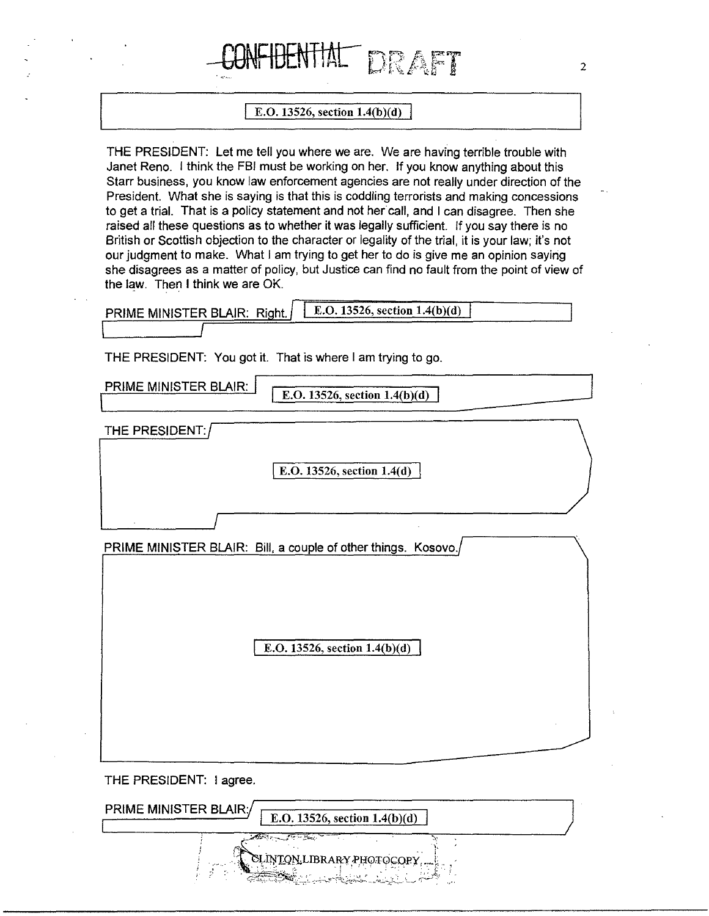

DRAFT

**BENTIAL** 

2

THE PRESIDENT: Let me tell you where we are. We are having terrible trouble with Janet Reno. I think the FBJ must be working on her. If you know anything about this Starr business, you know law enforcement agencies are not really under direction of the President. What she is saying is that this is coddling terrorists and making concessions to get a trial. That is a policy statement and not her call, and I can disagree. Then she raised all these questions as to whether it was legally sufficient. If you say there is no British or Scottish objection to the character or legality of the trial, it is your law; it's not our judgment to make. What I am trying to get her to do is give me an opinion saying she disagrees as a matter of policy, but Justice can find no fault from the point of view of the law. Then I think we are OK.

| E.O. 13526, section $1.4(b)(d)$<br>PRIME MINISTER BLAIR: Right. |
|-----------------------------------------------------------------|
|                                                                 |
| THE PRESIDENT: You got it. That is where I am trying to go.     |
| PRIME MINISTER BLAIR:<br>E.O. 13526, section $1.4(b)(d)$        |
| THE PRESIDENT:/                                                 |
| E.O. 13526, section 1.4(d)                                      |
|                                                                 |
| PRIME MINISTER BLAIR: Bill, a couple of other things. Kosovo.   |
| E.O. 13526, section $1.4(b)(d)$                                 |
|                                                                 |
| THE PRESIDENT: I agree.                                         |
| PRIME MINISTER BLAIR:<br>E.O. 13526, section 1.4(b)(d)          |
| - 25a)<br>CLINTON, LIBRARY PHOTOCOPY,                           |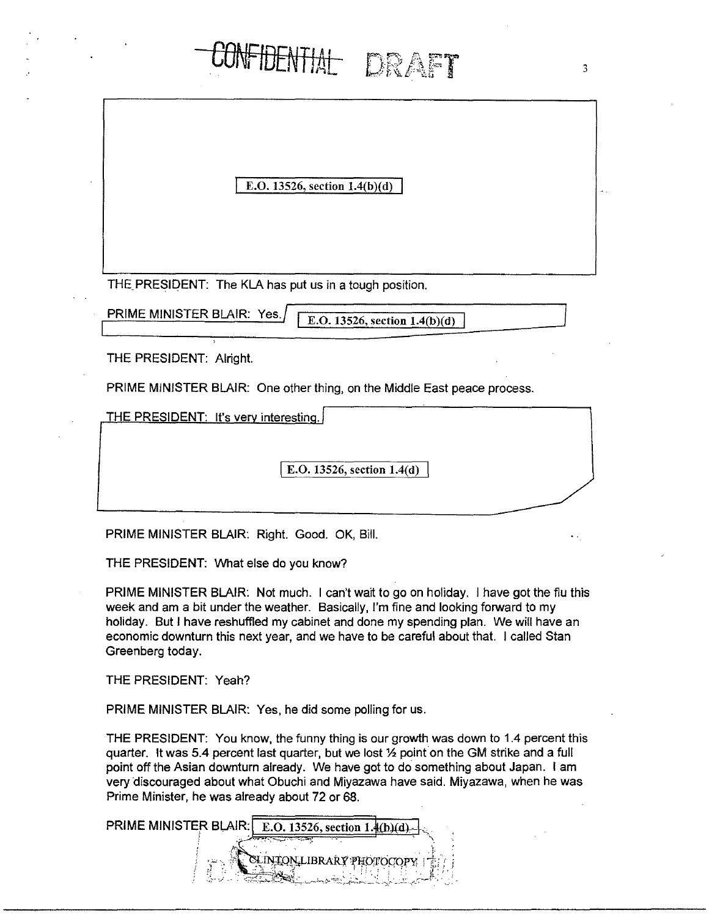| CONFIDENTIAL DRAFT                                                       | 3 |
|--------------------------------------------------------------------------|---|
| E.O. 13526, section $1.4(b)(d)$                                          |   |
| THE PRESIDENT: The KLA has put us in a tough position.                   |   |
| PRIME MINISTER BLAIR: Yes.<br>E.O. 13526, section $1.4(b)(d)$            |   |
| h,<br>THE PRESIDENT: Alright.                                            |   |
| PRIME MINISTER BLAIR: One other thing, on the Middle East peace process. |   |
| <b>THE PRESIDENT: It's very interesting.</b>                             |   |
| E.O. 13526, section 1.4(d)                                               |   |

PRIME MINISTER BLAIR: Right. Good. OK, Bill.

THE PRESIDENT: What else do you know?

PRIME MINISTER BLAIR: Not much. I can't wait to go on holiday. I have got the flu this week and am a bit under the weather. Basically, I'm fine and looking forward to my holiday. But I have reshuffled my cabinet and done my spending plan. We will have an economic downturn this next year, and we have to be careful about that. I called Stan Greenberg today.

THE PRESIDENT: Yeah?

PRIME MINISTER BLAIR: Yes, he did some polling for us.

THE PRESIDENT: You know, the funny thing is our growth was down to 1.4 percent this quarter. It was 5.4 percent last quarter, but we lost  $\frac{1}{2}$  point on the GM strike and a full point off the Asian downturn already. We have got to do something about Japan. I am very discouraged about what Obuchi and Miyazawa have said. Miyazawa, when he was Prime Minister, he was already about 72 or 68.

PRIME MINISTER BLAIR:  $E.O. 13526$ , section 1.4(b)(d)  $\begin{bmatrix} \text{Cwinnon-LIBRARY PHOTOCOPY} & \text{Lip} \end{bmatrix}$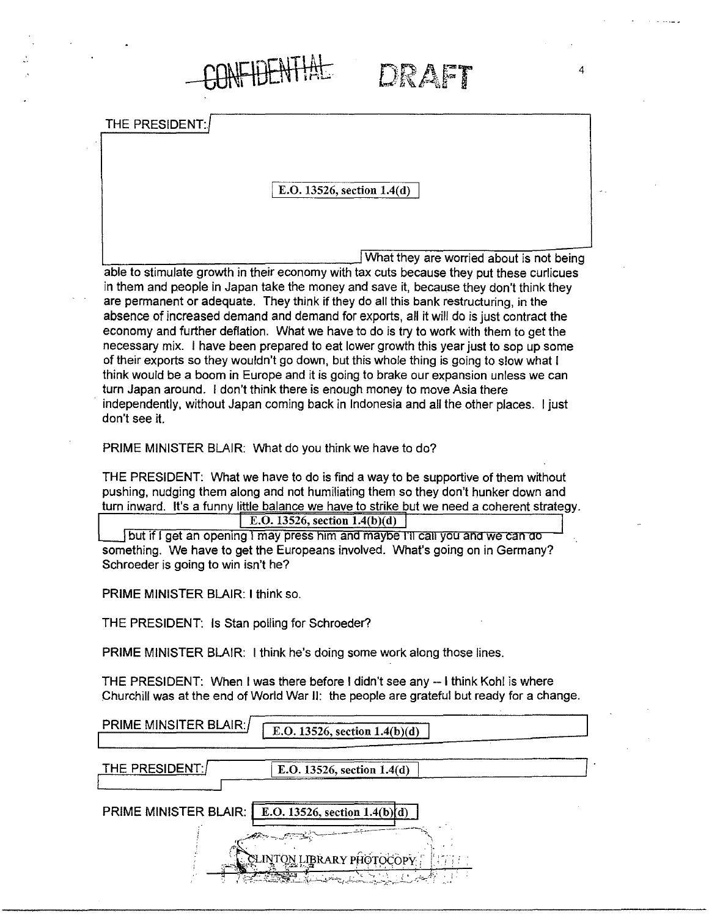**ONFIDENT!** 

DRAFT

THE PRESIDENT:

## I E.O. 13526, section 1.4(d)

What they are worried about is not being

4

able to stimulate growth in their economy with tax cuts because they put these curlicues in them and people in Japan take the money and save it, because they don't think they are permanent or adequate. They think if they do all this bank restructuring, in the absence of increased demand and demand tor exports, all it will do is just contract the economy and further deflation. What we have to do is try to work with them to get the necessary mix. I have been prepared to eat lower growth this year just to sop up some of their exports so they wouldn't go down, but this whole thing is going to slow what I think would be a boom in Europe and it is going to brake our expansion unless we can turn Japan around. I don't think there is enough money to move Asia there independently, without Japan coming back in Indonesia and all the other places. I just don't see it.

PRIME MINISTER BLAIR: What do you think we have to do?

THE PRESIDENT: What we have to do is find a way to be supportive of them without pushing, nudging them along and not humiliating them so they don't hunker down and turn inward. It's a funny little balance we have to strike but we need a coherent strategy.

E.O. 13526, section  $1.4(b)(d)$ 

but if I get an opening I may press him and maybe I'll call you and we can do something. We have to get the Europeans involved. What's going on in Germany? Schroeder is going to win isn't he?

PRIME MINISTER BLAIR: I think so.

THE PRESIDENT: Is Stan polling for Schroeder?

PRIME MINISTER BLAIR: I think he's doing some work along those lines.

THE PRESIDENT: When I was there before I didn't see any --1 think Kohl is where Churchill was at the end of World War II: the people are grateful but ready for a change.

| PRIME MINSITER BLAIR:        | E.O. 13526, section $1.4(b)(d)$ |
|------------------------------|---------------------------------|
| THE PRESIDENT:               | E.O. 13526, section 1.4(d)      |
| <b>PRIME MINISTER BLAIR:</b> | E.O. 13526, section $1.4(b)(d)$ |
|                              | LINTON LIBRARY PHÓTOCÒPY        |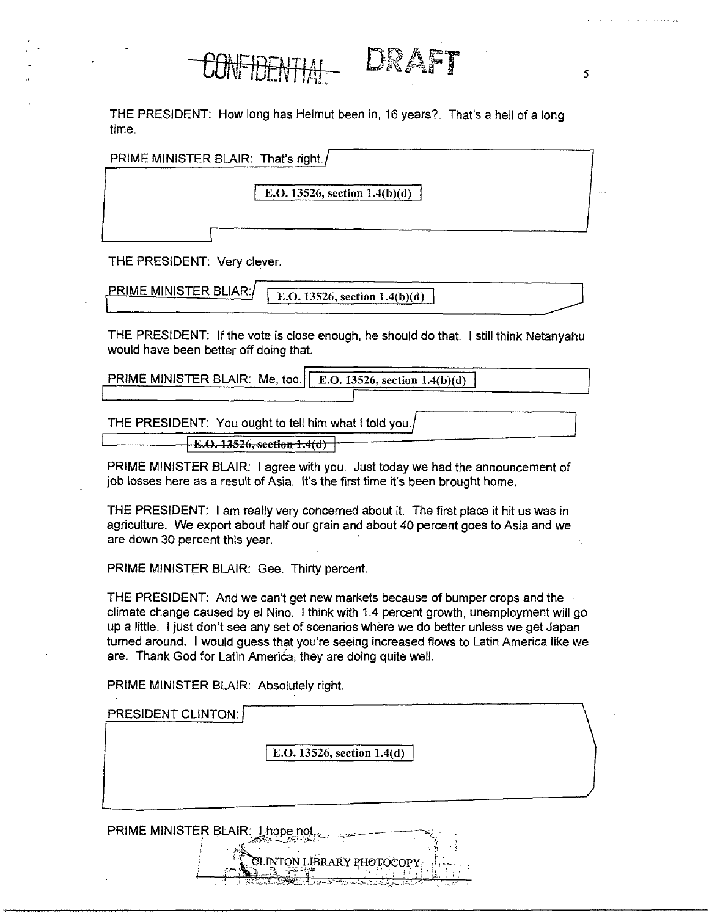

THE PRESIDENT: How long has Helmut been in, 16 years?. That's a hell of a long time.

| PRIME MINISTER BLAIR: That's right./ |  |
|--------------------------------------|--|
| E.O. 13526, section $1.4(b)(d)$      |  |
|                                      |  |

THE PRESIDENT: Very clever.

PRIME MINISTER BLIAR:  $E$ ,  $E$ ,  $\overline{E}$ ,  $\overline{E}$ ,  $\overline{E}$ ,  $\overline{E}$ ,  $\overline{E}$ ,  $\overline{E}$ ,  $\overline{E}$ ,  $\overline{E}$ ,  $\overline{E}$ ,  $\overline{E}$ ,  $\overline{E}$ ,  $\overline{E}$ ,  $\overline{E}$ ,  $\overline{E}$ ,  $\overline{E}$ ,  $\overline{E}$ ,  $\overline{E}$ ,  $\overline{E}$ ,  $\overline{E}$ ,

THE PRESIDENT: If the vote is close enough, he should do that. I still think Netanyahu would have been better off doing that.

PRIME MINISTER BLAIR: Me, too.  $\overline{E.O. 13526}$ , section 1.4(b)(d)

THE PRESIDENT: You ought to tell him what I told you.

 $\big|$  E.O. 13526, section 1.4(d)

PRIME MINISTER BLAIR: I agree with you. Just today we had the announcement of job losses here as a result of Asia. It's the first time it's been brought home.

THE PRESIDENT: I am really very concerned about it. The first place it hit us was in agriculture. We export about half our grain and about 40 percent goes to Asia and we are down 30 percent this year.

PRIME MINISTER BLAIR: Gee. Thirty percent.

THE PRESIDENT: And we can't get new markets because of bumper crops and the · climate change caused by el Nino. I think with 1.4 percent growth, unemployment will go up a little. I just don't see any set of scenarios where we do better unless we get Japan turned around. I would guess that you're seeing increased flows to Latin America like we are. Thank God for Latin America, they are doing quite well.

PRIME MINISTER BLAIR: Absolutely right.

| <b>PRESIDENT CLINTON:</b>        |                            |  |
|----------------------------------|----------------------------|--|
|                                  | E.O. 13526, section 1.4(d) |  |
|                                  |                            |  |
| PRIME MINISTER BLAIR: 1 hope not |                            |  |
|                                  | CLINTON LIBRARY PHOTOCOPY  |  |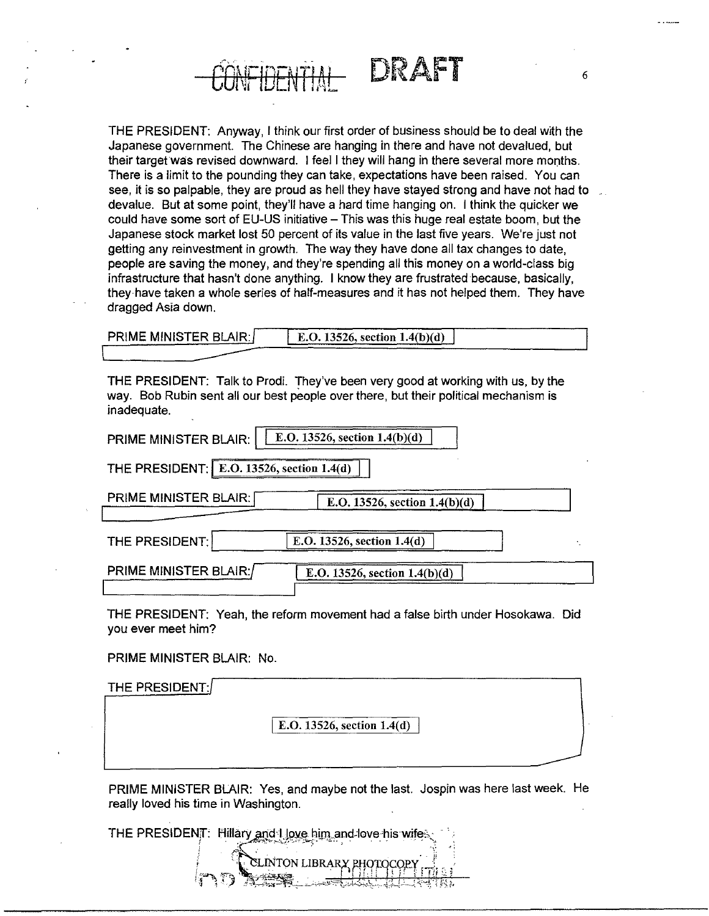

THE PRESIDENT: Anyway, I think our first order of business should be to deal with the Japanese government. The Chinese are hanging in there and have not devalued, but their target was revised downward. I feel I they will hang in there several more months. There is a limit to the pounding they can take, expectations have been raised. You can see, it is so palpable, they are proud as hell they have stayed strong and have not had to devalue. But at some point, they'll have a hard time hanging on. I think the quicker we could have some sort of EU-US initiative - This was this huge real estate boom, but the Japanese stock market lost 50 percent of its value in the last five years. We're just not getting any reinvestment in growth. The way they have done all tax changes to date, people are saving the money, and they're spending all this money on a world-class big infrastructure that hasn't done anything. I know they are frustrated because, basically, they-have taken a whole series of half-measures and it has not helped them. They have dragged Asia down.

| <b>PRIME MINISTER BLAIR:</b> | E.O. 13526, section $1.4(b)(d)$ |  |
|------------------------------|---------------------------------|--|
|                              |                                 |  |

THE PRESIDENT: Talk to Prodi. They've been very good at working with us, by the way. Bob Rubin sent all our best people over there, but their political mechanism is inadequate.

| PRIME MINISTER BLAIR:                          | E.O. 13526, section $1.4(b)(d)$ |  |
|------------------------------------------------|---------------------------------|--|
| THE PRESIDENT: $E.D. 13526$ , section $1.4(d)$ |                                 |  |
| PRIME MINISTER BLAIR:                          | E.O. 13526, section $1.4(b)(d)$ |  |
| THE PRESIDENT:                                 | E.O. 13526, section 1.4(d)      |  |
| PRIME MINISTER BLAIR:/                         | E.O. 13526, section $1.4(b)(d)$ |  |

THE PRESIDENT: Yeah, the reform movement had a false birth under Hosokawa. Did you ever meet him?

PRIME MINISTER BLAIR: No.

| THE PRESIDENT: |                            |  |
|----------------|----------------------------|--|
|                | E.O. 13526, section 1.4(d) |  |
|                |                            |  |

PRIME MINISTER BLAIR: Yes, and maybe not the last. Jospin was here last week. He really loved his time in Washington.